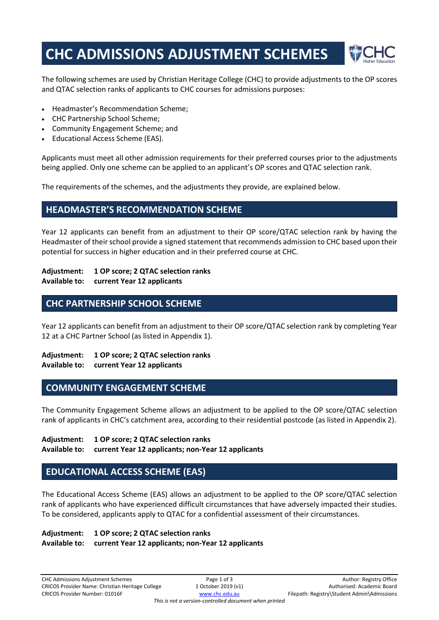# **CHC ADMISSIONS ADJUSTMENT SCHEMES**



The following schemes are used by Christian Heritage College (CHC) to provide adjustments to the OP scores and QTAC selection ranks of applicants to CHC courses for admissions purposes:

- Headmaster's Recommendation Scheme;
- CHC Partnership School Scheme;
- Community Engagement Scheme; and
- Educational Access Scheme (EAS).

Applicants must meet all other admission requirements for their preferred courses prior to the adjustments being applied. Only one scheme can be applied to an applicant's OP scores and QTAC selection rank.

The requirements of the schemes, and the adjustments they provide, are explained below.

## **HEADMASTER'S RECOMMENDATION SCHEME**

Year 12 applicants can benefit from an adjustment to their OP score/QTAC selection rank by having the Headmaster of their school provide a signed statement that recommends admission to CHC based upon their potential for success in higher education and in their preferred course at CHC.

### **Adjustment: 1 OP score; 2 QTAC selection ranks**

**Available to: current Year 12 applicants** 

## **CHC PARTNERSHIP SCHOOL SCHEME**

Year 12 applicants can benefit from an adjustment to their OP score/QTAC selection rank by completing Year 12 at a CHC Partner School (as listed in Appendix 1).

**Adjustment: 1 OP score; 2 QTAC selection ranks Available to: current Year 12 applicants** 

### **COMMUNITY ENGAGEMENT SCHEME**

The Community Engagement Scheme allows an adjustment to be applied to the OP score/QTAC selection rank of applicants in CHC's catchment area, according to their residential postcode (as listed in Appendix 2).

**Adjustment: 1 OP score; 2 QTAC selection ranks** 

#### **Available to: current Year 12 applicants; non-Year 12 applicants**

## **EDUCATIONAL ACCESS SCHEME (EAS)**

The Educational Access Scheme (EAS) allows an adjustment to be applied to the OP score/QTAC selection rank of applicants who have experienced difficult circumstances that have adversely impacted their studies. To be considered, applicants apply to QTAC for a confidential assessment of their circumstances.

#### **Adjustment: 1 OP score; 2 QTAC selection ranks Available to: current Year 12 applicants; non-Year 12 applicants**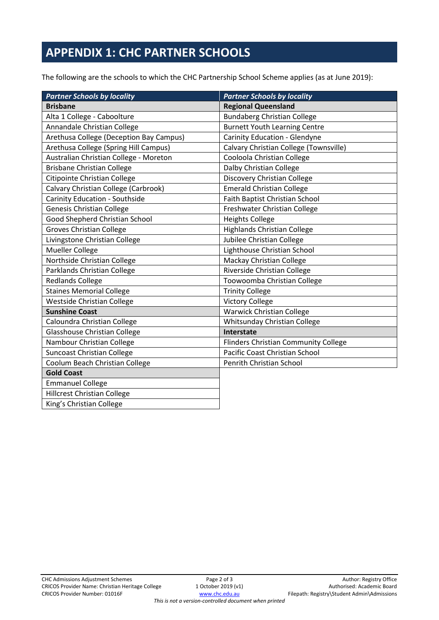## **APPENDIX 1: CHC PARTNER SCHOOLS**

The following are the schools to which the CHC Partnership School Scheme applies (as at June 2019):

| <b>Partner Schools by locality</b>      | <b>Partner Schools by locality</b>     |
|-----------------------------------------|----------------------------------------|
| <b>Brisbane</b>                         | <b>Regional Queensland</b>             |
| Alta 1 College - Caboolture             | <b>Bundaberg Christian College</b>     |
| Annandale Christian College             | <b>Burnett Youth Learning Centre</b>   |
| Arethusa College (Deception Bay Campus) | Carinity Education - Glendyne          |
| Arethusa College (Spring Hill Campus)   | Calvary Christian College (Townsville) |
| Australian Christian College - Moreton  | Cooloola Christian College             |
| <b>Brisbane Christian College</b>       | Dalby Christian College                |
| Citipointe Christian College            | Discovery Christian College            |
| Calvary Christian College (Carbrook)    | <b>Emerald Christian College</b>       |
| Carinity Education - Southside          | Faith Baptist Christian School         |
| <b>Genesis Christian College</b>        | Freshwater Christian College           |
| Good Shepherd Christian School          | <b>Heights College</b>                 |
| <b>Groves Christian College</b>         | <b>Highlands Christian College</b>     |
| Livingstone Christian College           | Jubilee Christian College              |
| <b>Mueller College</b>                  | Lighthouse Christian School            |
| Northside Christian College             | <b>Mackay Christian College</b>        |
| Parklands Christian College             | Riverside Christian College            |
| <b>Redlands College</b>                 | Toowoomba Christian College            |
| <b>Staines Memorial College</b>         | <b>Trinity College</b>                 |
| Westside Christian College              | <b>Victory College</b>                 |
| <b>Sunshine Coast</b>                   | <b>Warwick Christian College</b>       |
| Caloundra Christian College             | Whitsunday Christian College           |
| Glasshouse Christian College            | Interstate                             |
| Nambour Christian College               | Flinders Christian Community College   |
| <b>Suncoast Christian College</b>       | Pacific Coast Christian School         |
| Coolum Beach Christian College          | Penrith Christian School               |
| <b>Gold Coast</b>                       |                                        |
| <b>Emmanuel College</b>                 |                                        |
| <b>Hillcrest Christian College</b>      |                                        |
| King's Christian College                |                                        |